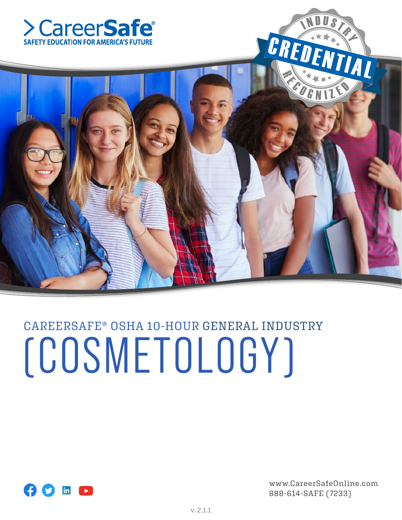



# CAREERSAFE® OSHA 10-HOUR GENERAL INDUSTRY (COSMETOLOGY)



www.CareerSafeOnline.com 888-614-SAFE (7233)

 $\blacklozenge$ 

N DUST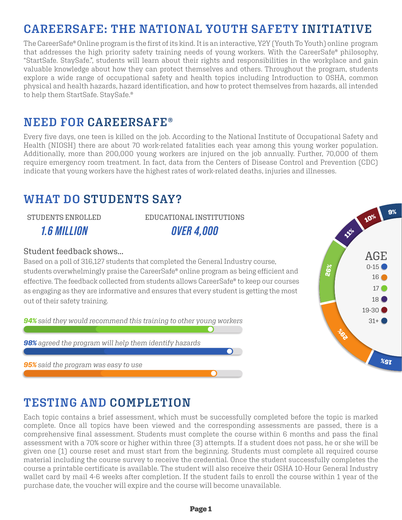# **CAREERSAFE: THE NATIONAL YOUTH SAFETY INITIATIVE**

The CareerSafe® Online program is the first of its kind. It is an interactive, Y2Y (Youth To Youth) online program that addresses the high priority safety training needs of young workers. With the CareerSafe® philosophy, "StartSafe. StaySafe.", students will learn about their rights and responsibilities in the workplace and gain valuable knowledge about how they can protect themselves and others. Throughout the program, students explore a wide range of occupational safety and health topics including Introduction to OSHA, common physical and health hazards, hazard identification, and how to protect themselves from hazards, all intended to help them StartSafe. StaySafe.®

## **NEED FOR CAREERSAFE®**

Every five days, one teen is killed on the job. According to the National Institute of Occupational Safety and Health (NIOSH) there are about 70 work-related fatalities each year among this young worker population. Additionally, more than 200,000 young workers are injured on the job annually. Further, 70,000 of them require emergency room treatment. In fact, data from the Centers of Disease Control and Prevention (CDC) indicate that young workers have the highest rates of work-related deaths, injuries and illnesses.

# **WHAT DO STUDENTS SAY?**

STUDENTS ENROLLED

*1.6 MILLION*

EDUCATIONAL INSTITUTIONS *OVER 4,000*

#### Student feedback shows...

Based on a poll of 316,127 students that completed the General Industry course, students overwhelmingly praise the CareerSafe® online program as being efficient and effective. The feedback collected from students allows CareerSafe® to keep our courses as engaging as they are informative and ensures that every student is getting the most out of their safety training.

*94% said they would recommend this training to other young workers*

*98% agreed the program will help them identify hazards*

*95% said the program was easy to use*



# **TESTING AND COMPLETION**

Each topic contains a brief assessment, which must be successfully completed before the topic is marked complete. Once all topics have been viewed and the corresponding assessments are passed, there is a comprehensive final assessment. Students must complete the course within 6 months and pass the final assessment with a 70% score or higher within three (3) attempts. If a student does not pass, he or she will be given one (1) course reset and must start from the beginning. Students must complete all required course material including the course survey to receive the credential. Once the student successfully completes the course a printable certificate is available. The student will also receive their OSHA 10-Hour General Industry wallet card by mail 4-6 weeks after completion. If the student fails to enroll the course within 1 year of the purchase date, the voucher will expire and the course will become unavailable.

 $\bigcap$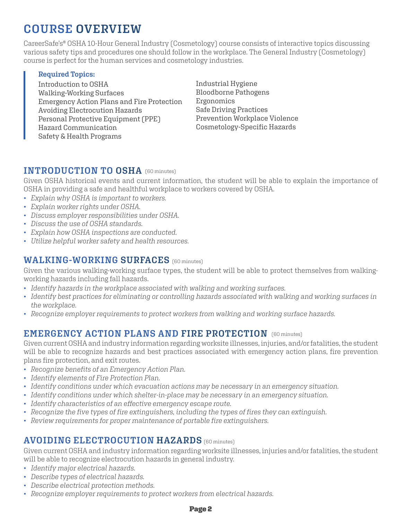# **COURSE OVERVIEW**

CareerSafe's® OSHA 10-Hour General Industry (Cosmetology) course consists of interactive topics discussing various safety tips and procedures one should follow in the workplace. The General Industry (Cosmetology) course is perfect for the human services and cosmetology industries.

#### **Required Topics:**

Introduction to OSHA Walking-Working Surfaces Emergency Action Plans and Fire Protection Avoiding Electrocution Hazards Personal Protective Equipment (PPE) Hazard Communication Safety & Health Programs

Industrial Hygiene Bloodborne Pathogens Ergonomics Safe Driving Practices Prevention Workplace Violence Cosmetology-Specific Hazards

## **INTRODUCTION TO OSHA** (60 minutes)

Given OSHA historical events and current information, the student will be able to explain the importance of OSHA in providing a safe and healthful workplace to workers covered by OSHA.

- *Explain why OSHA is important to workers.*
- *Explain worker rights under OSHA.*
- *Discuss employer responsibilities under OSHA.*
- *Discuss the use of OSHA standards.*
- *Explain how OSHA inspections are conducted.*
- *Utilize helpful worker safety and health resources.*

## **WALKING-WORKING SURFACES** (60 minutes)

Given the various walking-working surface types, the student will be able to protect themselves from walkingworking hazards including fall hazards.

- *Identify hazards in the workplace associated with walking and working surfaces.*
- *Identify best practices for eliminating or controlling hazards associated with walking and working surfaces in the workplace.*
- *Recognize employer requirements to protect workers from walking and working surface hazards.*

#### **EMERGENCY ACTION PLANS AND FIRE PROTECTION** (60 minutes)

Given current OSHA and industry information regarding worksite illnesses, injuries, and/or fatalities, the student will be able to recognize hazards and best practices associated with emergency action plans, fire prevention plans fire protection, and exit routes.

- *Recognize benefits of an Emergency Action Plan.*
- *Identify elements of Fire Protection Plan.*
- *Identify conditions under which evacuation actions may be necessary in an emergency situation.*
- *Identify conditions under which shelter-in-place may be necessary in an emergency situation.*
- *Identify characteristics of an effective emergency escape route.*
- *Recognize the five types of fire extinguishers, including the types of fires they can extinguish.*
- *Review requirements for proper maintenance of portable fire extinguishers.*

#### **AVOIDING ELECTROCUTION HAZARDS** (60 minutes)

Given current OSHA and industry information regarding worksite illnesses, injuries and/or fatalities, the student will be able to recognize electrocution hazards in general industry.

- *Identify major electrical hazards.*
- *Describe types of electrical hazards.*
- *Describe electrical protection methods.*
- *Recognize employer requirements to protect workers from electrical hazards.*

#### Page 2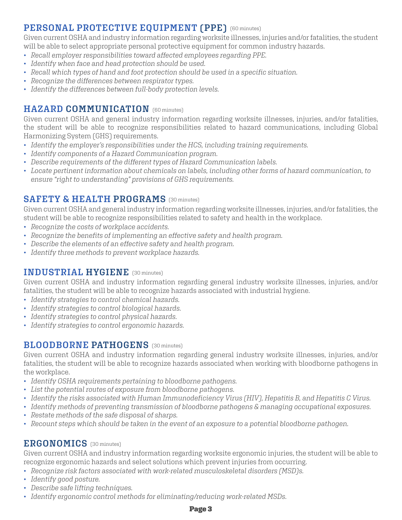## (60 minutes) **PERSONAL PROTECTIVE EQUIPMENT (PPE)**

Given current OSHA and industry information regarding worksite illnesses, injuries and/or fatalities, the student will be able to select appropriate personal protective equipment for common industry hazards.

- *Recall employer responsibilities toward affected employees regarding PPE.*
- *Identify when face and head protection should be used.*
- *Recall which types of hand and foot protection should be used in a specific situation.*
- *Recognize the differences between respirator types.*
- *Identify the differences between full-body protection levels.*

## **HAZARD COMMUNICATION** [60 minutes]

Given current OSHA and general industry information regarding worksite illnesses, injuries, and/or fatalities, the student will be able to recognize responsibilities related to hazard communications, including Global Harmonizing System (GHS) requirements.

- *Identify the employer's responsibilities under the HCS, including training requirements.*
- *Identify components of a Hazard Communication program.*
- *Describe requirements of the different types of Hazard Communication labels.*
- *Locate pertinent information about chemicals on labels, including other forms of hazard communication, to ensure "right to understanding" provisions of GHS requirements.*

## **SAFETY & HEALTH PROGRAMS** (30 minutes)

Given current OSHA and general industry information regarding worksite illnesses, injuries, and/or fatalities, the student will be able to recognize responsibilities related to safety and health in the workplace.

- *Recognize the costs of workplace accidents.*
- *Recognize the benefits of implementing an effective safety and health program.*
- *Describe the elements of an effective safety and health program.*
- *Identify three methods to prevent workplace hazards.*

## (30 minutes) **INDUSTRIAL HYGIENE**

Given current OSHA and industry information regarding general industry worksite illnesses, injuries, and/or fatalities, the student will be able to recognize hazards associated with industrial hygiene.

- *Identify strategies to control chemical hazards.*
- *Identify strategies to control biological hazards.*
- *Identify strategies to control physical hazards.*
- *Identify strategies to control ergonomic hazards.*

## **BLOODBORNE PATHOGENS** (30 minutes)

Given current OSHA and industry information regarding general industry worksite illnesses, injuries, and/or fatalities, the student will be able to recognize hazards associated when working with bloodborne pathogens in the workplace.

- *Identify OSHA requirements pertaining to bloodborne pathogens.*
- *List the potential routes of exposure from bloodborne pathogens.*
- *Identify the risks associated with Human Immunodeficiency Virus (HIV), Hepatitis B, and Hepatitis C Virus.*
- *Identify methods of preventing transmission of bloodborne pathogens & managing occupational exposures.*
- *Restate methods of the safe disposal of sharps.*
- *Recount steps which should be taken in the event of an exposure to a potential bloodborne pathogen.*

#### **ERGONOMICS** (30 minutes)

Given current OSHA and industry information regarding worksite ergonomic injuries, the student will be able to recognize ergonomic hazards and select solutions which prevent injuries from occurring.

- *Recognize risk factors associated with work-related musculoskeletal disorders (MSD)s.*
- *Identify good posture.*
- *Describe safe lifting techniques.*
- *Identify ergonomic control methods for eliminating/reducing work-related MSDs.*

#### Page 3